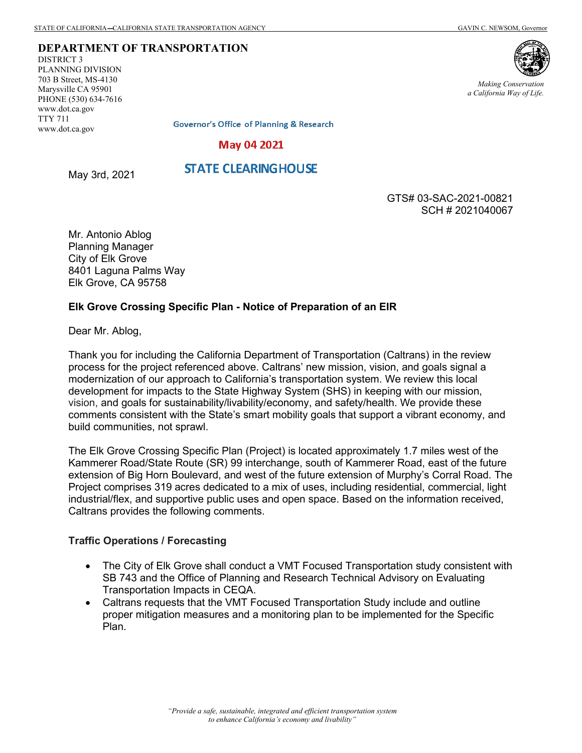#### **DEPARTMENT OF TRANSPORTATION**

DISTRICT 3 PLANNING DIVISION 703 B Street, MS-4130 Marysville CA 95901 PHONE (530) 634-7616 www.dot.ca.gov TTY 711 www.dot.ca.gov



*Making Conservation a California Way of Life.*

**Governor's Office of Planning & Research** 

### **May 04 2021**

# **STATE CLEARINGHOUSE**

May 3rd, 2021

GTS# 03-SAC-2021-00821 SCH # 2021040067

Mr. Antonio Ablog Planning Manager City of Elk Grove 8401 Laguna Palms Way Elk Grove, CA 95758

## **Elk Grove Crossing Specific Plan - Notice of Preparation of an EIR**

Dear Mr. Ablog,

Thank you for including the California Department of Transportation (Caltrans) in the review process for the project referenced above. Caltrans' new mission, vision, and goals signal a modernization of our approach to California's transportation system. We review this local development for impacts to the State Highway System (SHS) in keeping with our mission, vision, and goals for sustainability/livability/economy, and safety/health. We provide these comments consistent with the State's smart mobility goals that support a vibrant economy, and build communities, not sprawl.

The Elk Grove Crossing Specific Plan (Project) is located approximately 1.7 miles west of the Kammerer Road/State Route (SR) 99 interchange, south of Kammerer Road, east of the future extension of Big Horn Boulevard, and west of the future extension of Murphy's Corral Road. The Project comprises 319 acres dedicated to a mix of uses, including residential, commercial, light industrial/flex, and supportive public uses and open space. Based on the information received, Caltrans provides the following comments.

### **Traffic Operations / Forecasting**

- The City of Elk Grove shall conduct a VMT Focused Transportation study consistent with SB 743 and the Office of Planning and Research Technical Advisory on Evaluating Transportation Impacts in CEQA.
- Caltrans requests that the VMT Focused Transportation Study include and outline proper mitigation measures and a monitoring plan to be implemented for the Specific Plan.